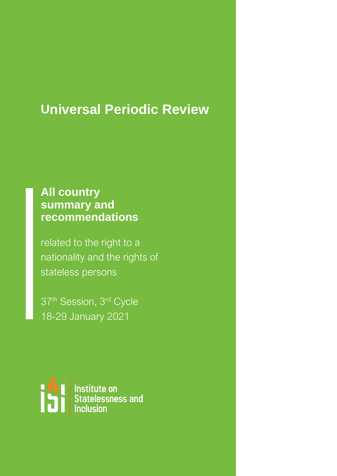# **Universal Periodic Review**

## **All country summary and recommendations**

related to the right to a nationality and the rights of stateless persons

37<sup>th</sup> Session, 3<sup>rd</sup> Cycle 18-29 January 2021

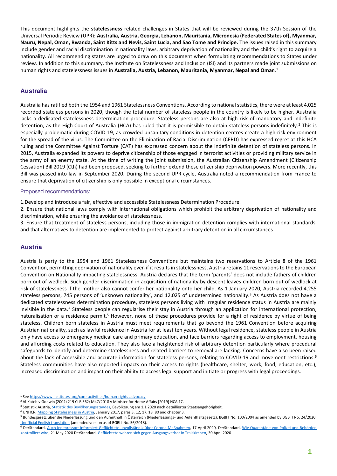This document highlights the **statelessness** related challenges in States that will be reviewed during the 37th Session of the Universal Periodic Review (UPR): **Australia, Austria, Georgia, Lebanon, Mauritania, Micronesia (Federated States of), Myanmar, Nauru, Nepal, Oman, Rwanda, Saint Kitts and Nevis, Saint Lucia, and Sao Tome and Principe.** The issues raised in this summary include gender and racial discrimination in nationality laws, arbitrary deprivation of nationality and the child's right to acquire a nationality. All recommending states are urged to draw on this document when formulating recommendations to States under review. In addition to this summary, the Institute on Statelessness and Inclusion (ISI) and its partners made joint submissions on human rights and statelessness issues in **Australia, Austria, Lebanon, Mauritania, Myanmar, Nepal and Oman**. 1

## **Australia**

Australia has ratified both the 1954 and 1961 Statelessness Conventions. According to national statistics, there were at least 4,025 recorded stateless persons in 2020, though the total number of stateless people in the country is likely to be higher. Australia lacks a dedicated statelessness determination procedure. Stateless persons are also at high risk of mandatory and indefinite detention, as the High Court of Australia (HCA) has ruled that it is permissible to detain stateless persons indefinitely.<sup>2</sup> This is especially problematic during COVID-19, as crowded unsanitary conditions in detention centres create a high-risk environment for the spread of the virus. The Committee on the Elimination of Racial Discrimination (CERD) has expressed regret at this HCA ruling and the Committee Against Torture (CAT) has expressed concern about the indefinite detention of stateless persons. In 2015, Australia expanded its powers to deprive citizenship of those engaged in terrorist activities or providing military service in the army of an enemy state. At the time of writing the joint submission, the Australian Citizenship Amendment (Citizenship Cessation) Bill 2019 (Cth) had been proposed, seeking to further extend these citizenship deprivation powers. More recently, this Bill was passed into law in September 2020. During the second UPR cycle, Australia noted a recommendation from France to ensure that deprivation of citizenship is only possible in exceptional circumstances.

#### Proposed recommendations:

1.Develop and introduce a fair, effective and accessible Statelessness Determination Procedure.

2. Ensure that national laws comply with international obligations which prohibit the arbitrary deprivation of nationality and discrimination, while ensuring the avoidance of statelessness.

3. Ensure that treatment of stateless persons, including those in immigration detention complies with international standards, and that alternatives to detention are implemented to protect against arbitrary detention in all circumstances.

## **Austria**

Austria is party to the 1954 and 1961 Statelessness Conventions but maintains two reservations to Article 8 of the 1961 Convention, permitting deprivation of nationality even if it results in statelessness. Austria retains 11 reservations to the European Convention on Nationality impacting statelessness. Austria declares that the term 'parents' does not include fathers of children born out of wedlock. Such gender discrimination in acquisition of nationality by descent leaves children born out of wedlock at risk of statelessness if the mother also cannot confer her nationality onto her child. As 1 January 2020, Austria recorded 4,255 stateless persons, 745 persons of 'unknown nationality', and 12,025 of undetermined nationality.<sup>3</sup> As Austria does not have a dedicated statelessness determination procedure, stateless persons living with irregular residence status in Austria are mainly invisible in the data. <sup>4</sup> Stateless people can regularise their stay in Austria through an application for international protection, naturalisation or a residence permit.<sup>5</sup> However, none of these procedures provide for a right of residence by virtue of being stateless. Children born stateless in Austria must meet requirements that go beyond the 1961 Convention before acquiring Austrian nationality, such as lawful residence in Austria for at least ten years. Without legal residence, stateless people in Austria only have access to emergency medical care and primary education, and face barriers regarding access to employment. housing and affording costs related to education. They also face a heightened risk of arbitrary detention particularly where procedural safeguards to identify and determine statelessness and related barriers to removal are lacking. Concerns have also been raised about the lack of accessible and accurate information for stateless persons, relating to COVID-19 and movement restrictions.<sup>6</sup> Stateless communities have also reported impacts on their access to rights (healthcare, shelter, work, food, education, etc.), increased discrimination and impact on their ability to access legal support and initiate or progress with legal proceedings.

<sup>1</sup> Se[e https://www.institutesi.org/core-activities/human-rights-advocacy](https://www.institutesi.org/core-activities/human-rights-advocacy)

<sup>&</sup>lt;sup>2</sup> Al-Kateb v Godwin (2004) 219 CLR 562; M47/2018 v Minister for Home Affairs [2019] HCA 17.

<sup>&</sup>lt;sup>3</sup> Statistik Austria, *Statistik des Bevölkerungsstandes*, Bevölkerung am 1.1.2020 nach detaillierter Staatsangehörigkeit.

<sup>4</sup> UNHCR[, Mapping Statelessness in Austria,](https://www.refworld.org/docid/58b6e5b14.html) January 2017, paras 3, 12, 17, 18, 80 and chapter 3.

<sup>5</sup> Bundesgesetz über die Niederlassung und den Aufenthalt in Österreich (Niederlassungs- und Aufenthaltsgesetz), BGBl I No. 100/2004 as amended by BGBl I No. 24/2020, [Unofficial English translation](https://www.refworld.org/docid/5c864ee94.html) (amended version as of BGBl I No. 56/2018).

<sup>&</sup>lt;sup>6</sup> DerStandard, [Auch Innenressort informiert Geflüchtete unvollständig über Corona-Maßnahmen,](https://www.derstandard.at/story/2000116939500/auch-innenressort-informiert-gefluechtete-unvollstaendig-ueber-coronamassnahmen) 17 April 2020, DerStandard, Wie Quarantäne von Polizei und Behörden [kontrolliert wird,](https://www.derstandard.at/story/2000117612917/wie-quarantaene-von-polizei-und-behoerden-kontrolliert-wird) 21 May 2020 DerStandard[, Geflüchtete wehren sich gegen Ausgangsverbot in Traiskirchen,](https://www.derstandard.at/story/2000117219054/gefluechtete-wehren-sich-gegen-ausgangsverbot-in-traiskirchen) 30 April 2020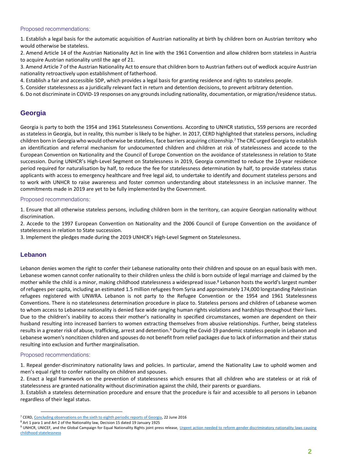#### Proposed recommendations:

1. Establish a legal basis for the automatic acquisition of Austrian nationality at birth by children born on Austrian territory who would otherwise be stateless.

2. Amend Article 14 of the Austrian Nationality Act in line with the 1961 Convention and allow children born stateless in Austria to acquire Austrian nationality until the age of 21.

3. Amend Article 7 of the Austrian Nationality Act to ensure that children born to Austrian fathers out of wedlock acquire Austrian nationality retroactively upon establishment of fatherhood.

4. Establish a fair and accessible SDP, which provides a legal basis for granting residence and rights to stateless people.

5. Consider statelessness as a juridically relevant fact in return and detention decisions, to prevent arbitrary detention.

6. Do not discriminate in COVID-19 responses on any grounds including nationality, documentation, or migration/residence status.

## **Georgia**

Georgia is party to both the 1954 and 1961 Statelessness Conventions. According to UNHCR statistics, 559 persons are recorded as stateless in Georgia, but in reality, this number is likely to be higher. In 2017, CERD highlighted that stateless persons, including children born in Georgia who would otherwise be stateless, face barriers acquiring citizenship.<sup>7</sup> The CRC urged Georgia to establish an identification and referral mechanism for undocumented children and children at risk of statelessness and accede to the European Convention on Nationality and the Council of Europe Convention on the avoidance of statelessness in relation to State succession. During UNHCR's High-Level Segment on Statelessness in 2019, Georgia committed to reduce the 10-year residence period required for naturalisation by half, to reduce the fee for statelessness determination by half, to provide stateless status applicants with access to emergency healthcare and free legal aid, to undertake to identify and document stateless persons and to work with UNHCR to raise awareness and foster common understanding about statelessness in an inclusive manner. Τhe commitments made in 2019 are yet to be fully implemented by the Government.

#### Proposed recommendations:

1. Ensure that all otherwise stateless persons, including children born in the territory, can acquire Georgian nationality without discrimination.

2. Accede to the 1997 European Convention on Nationality and the 2006 Council of Europe Convention on the avoidance of statelessness in relation to State succession.

3. Implement the pledges made during the 2019 UNHCR's High-Level Segment on Statelessness.

## **Lebanon**

Lebanon denies women the right to confer their Lebanese nationality onto their children and spouse on an equal basis with men. Lebanese women cannot confer nationality to their children unless the child is born outside of legal marriage and claimed by the mother while the child is a minor, making childhood statelessness a widespread issue. <sup>8</sup> Lebanon hosts the world's largest number of refugees per capita, including an estimated 1.5 million refugees from Syria and approximately 174,000 longstanding Palestinian refugees registered with UNWRA. Lebanon is not party to the Refugee Convention or the 1954 and 1961 Statelessness Conventions. There is no statelessness determination procedure in place to. Stateless persons and children of Lebanese women to whom access to Lebanese nationality is denied face wide ranging human rights violations and hardships throughout their lives. Due to the children's inability to access their mother's nationality in specified circumstances, women are dependent on their husband resulting into increased barriers to women extracting themselves from abusive relationships. Further, being stateless results in a greater risk of abuse, trafficking, arrest and detention.<sup>9</sup> During the Covid-19 pandemic stateless people in Lebanon and Lebanese women's noncitizen children and spouses do not benefit from relief packages due to lack of information and their status resulting into exclusion and further marginalisation.

#### Proposed recommendations:

1. Repeal gender-discriminatory nationality laws and policies. In particular, amend the Nationality Law to uphold women and men's equal right to confer nationality on children and spouses.

2. Enact a legal framework on the prevention of statelessness which ensures that all children who are stateless or at risk of statelessness are granted nationality without discrimination against the child, their parents or guardians.

3. Establish a stateless determination procedure and ensure that the procedure is fair and accessible to all persons in Lebanon regardless of their legal status.

<sup>7</sup> CERD[, Concluding observations on the sixth to eighth periodic reports of Georgia,](https://undocs.org/CERD/C/GEO/CO/6-8) 22 June 2016

<sup>8</sup> Art 1 para 1 and Art 2 of the Nationality law, Decision 15 dated 19 January 1925

<sup>&</sup>lt;sup>9</sup> UNHCR, UNICEF, and the Global Campaign for Equal Nationality Rights joint press release, Urgent action needed to reform gender discriminatory nationality laws causing [childhood statelessness](https://www.unhcr.org/uk/news/press/2019/8/5d5e63d9456/urgent-action-needed-reform-gender-discriminatory-nationality-lawscausing.html.)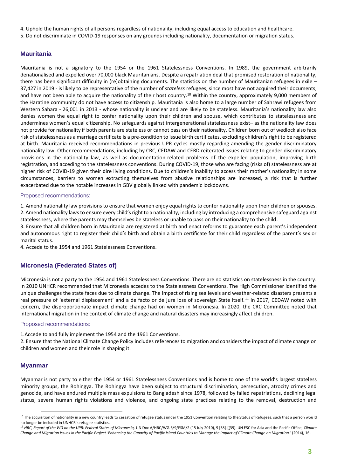4. Uphold the human rights of all persons regardless of nationality, including equal access to education and healthcare.

5. Do not discriminate in COVID-19 responses on any grounds including nationality, documentation or migration status.

## **Mauritania**

Mauritania is not a signatory to the 1954 or the 1961 Statelessness Conventions. In 1989, the government arbitrarily denationalised and expelled over 70,000 black Mauritanians. Despite a repatriation deal that promised restoration of nationality, there has been significant difficulty in (re)obtaining documents. The statistics on the number of Mauritanian refugees in exile – 37,427 in 2019 - is likely to be representative of the number of *stateless* refugees, since most have not acquired their documents, and have not been able to acquire the nationality of their host country.<sup>10</sup> Within the country, approximately 9,000 members of the Haratine community do not have access to citizenship. Mauritania is also home to a large number of Sahrawi refugees from Western Sahara - 26,001 in 2013 - whose nationality is unclear and are likely to be stateless. Mauritania's nationality law also denies women the equal right to confer nationality upon their children and spouse, which contributes to statelessness and undermines women's equal citizenship. No safeguards against intergenerational statelessness exist– as the nationality law does not provide for nationality if both parents are stateless or cannot pass on their nationality. Children born out of wedlock also face risk of statelessness as a marriage certificate is a pre-condition to issue birth certificates, excluding children's right to be registered at birth. Mauritania received recommendations in previous UPR cycles mostly regarding amending the gender discriminatory nationality law. Other recommendations, including by CRC, CEDAW and CERD reiterated issues relating to gender discriminatory provisions in the nationality law, as well as documentation-related problems of the expelled population, improving birth registration, and acceding to the statelessness conventions. During COVID-19, those who are facing (risks of) statelessness are at higher risk of COVID-19 given their dire living conditions. Due to children's inability to access their mother's nationality in some circumstances, barriers to women extracting themselves from abusive relationships are increased, a risk that is further exacerbated due to the notable increases in GBV globally linked with pandemic lockdowns.

#### Proposed recommendations:

1. Amend nationality law provisions to ensure that women enjoy equal rights to confer nationality upon their children or spouses. 2. Amend nationality laws to ensure every child's right to a nationality, including by introducing a comprehensive safeguard against statelessness, where the parents may themselves be stateless or unable to pass on their nationality to the child.

3. Ensure that all children born in Mauritania are registered at birth and enact reforms to guarantee each parent's independent and autonomous right to register their child's birth and obtain a birth certificate for their child regardless of the parent's sex or marital status.

4. Accede to the 1954 and 1961 Statelessness Conventions.

## **Micronesia (Federated States of)**

Micronesia is not a party to the 1954 and 1961 Statelessness Conventions. There are no statistics on statelessness in the country. In 2010 UNHCR recommended that Micronesia accedes to the Statelessness Conventions. The High Commissioner identified the unique challenges the state faces due to climate change. The impact of rising sea levels and weather-related disasters presents a real pressure of 'external displacement' and a de facto or de jure loss of sovereign State itself.<sup>11</sup> In 2017, CEDAW noted with concern, the disproportionate impact climate change had on women in Micronesia. In 2020, the CRC Committee noted that international migration in the context of climate change and natural disasters may increasingly affect children.

#### Proposed recommendations:

1.Accede to and fully implement the 1954 and the 1961 Conventions.

2. Ensure that the National Climate Change Policy includes references to migration and considers the impact of climate change on children and women and their role in shaping it.

## **Myanmar**

Myanmar is not party to either the 1954 or 1961 Statelessness Conventions and is home to one of the world's largest stateless minority groups, the Rohingya. The Rohingya have been subject to structural discrimination, persecution, atrocity crimes and genocide, and have endured multiple mass expulsions to Bangladesh since 1978, followed by failed repatriations, declining legal status, severe human rights violations and violence, and ongoing state practices relating to the removal, destruction and

<sup>&</sup>lt;sup>10</sup> The acquisition of nationality in a new country leads to cessation of refugee status under the 1951 Convention relating to the Status of Refugees, such that a person would no longer be included in UNHCR's refugee statistics.

<sup>11</sup> *HRC, Report of the WG on the UPR: Federal States of Micronesia,* UN Doc A/HRC/WG.6/9/FSM/2 (15 July 2010), 9 [38]-[[39]. UN ESC for Asia and the Pacific Office, *Climate Change and Migration Issues in the Pacific Project 'Enhancing the Capacity of Pacific Island Countries to Manage the Impact of Climate Change on Migration.'* (2014), 16.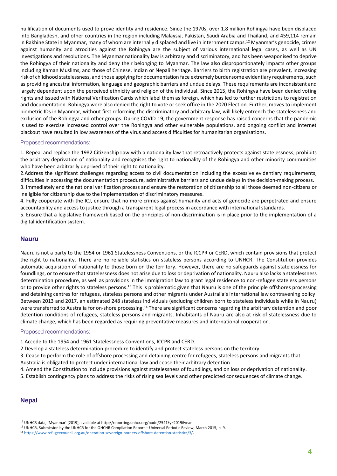nullification of documents used to prove identity and residence. Since the 1970s, over 1.8 million Rohingya have been displaced into Bangladesh, and other countries in the region including Malaysia, Pakistan, Saudi Arabia and Thailand, and 459,114 remain in Rakhine State in Myanmar, many of whom are internally displaced and live in internment camps. <sup>12</sup> Myanmar's genocide, crimes against humanity and atrocities against the Rohingya are the subject of various international legal cases, as well as UN investigations and resolutions. The Myanmar nationality law is arbitrary and discriminatory, and has been weaponised to deprive the Rohingya of their nationality and deny their belonging to Myanmar. The law also disproportionately impacts other groups including Kaman Muslims, and those of Chinese, Indian or Nepali heritage. Barriers to birth registration are prevalent, increasing risk of childhood statelessness, and those applying for documentation face extremely burdensome evidentiary requirements, such as providing ancestral information, language and geographic barriers and undue delays. These requirements are inconsistent and largely dependent upon the perceived ethnicity and religion of the individual. Since 2015, the Rohingya have been denied voting rights and issued with National Verification Cards which label them as foreign, which has led to further restrictions to registration and documentation. Rohingya were also denied the right to vote or seek office in the 2020 Election. Further, moves to implement biometric IDs in Myanmar, without first reforming the discriminatory and arbitrary law, will likely entrench the statelessness and exclusion of the Rohingya and other groups. During COVID-19, the government response has raised concerns that the pandemic is used to exercise increased control over the Rohingya and other vulnerable populations, and ongoing conflict and internet blackout have resulted in low awareness of the virus and access difficulties for humanitarian organisations.

#### Proposed recommendations:

1. Repeal and replace the 1982 Citizenship Law with a nationality law that retroactively protects against statelessness, prohibits the arbitrary deprivation of nationality and recognises the right to nationality of the Rohingya and other minority communities who have been arbitrarily deprived of their right to nationality.

2.Address the significant challenges regarding access to civil documentation including the excessive evidentiary requirements, difficulties in accessing the documentation procedure, administrative barriers and undue delays in the decision-making process. 3. Immediately end the national verification process and ensure the restoration of citizenship to all those deemed non-citizens or

ineligible for citizenship due to the implementation of discriminatory measures.

4. Fully cooperate with the ICJ, ensure that no more crimes against humanity and acts of genocide are perpetrated and ensure accountability and access to justice through a transparent legal process in accordance with international standards.

5. Ensure that a legislative framework based on the principles of non-discrimination is in place prior to the implementation of a digital identification system.

#### **Nauru**

Nauru is not a party to the 1954 or 1961 Statelessness Conventions, or the ICCPR or CERD, which contain provisions that protect the right to nationality. There are no reliable statistics on stateless persons according to UNHCR. The Constitution provides automatic acquisition of nationality to those born on the territory. However, there are no safeguards against statelessness for foundlings, or to ensure that statelessness does not arise due to loss or deprivation of nationality. Nauru also lacks a statelessness determination procedure, as well as provisions in the immigration law to grant legal residence to non-refugee stateless persons or to provide other rights to stateless persons.<sup>13</sup> This is problematic given that Nauru is one of the principle offshores processing and detaining centres for refugees, stateless persons and other migrants under Australia's international law contravening policy. Between 2013 and 2017, an estimated 248 stateless individuals (excluding children born to stateless individuals while in Nauru) were transferred to Australia for on-shore processing.<sup>14</sup> There are significant concerns regarding the arbitrary detention and poor detention conditions of refugees, stateless persons and migrants. Inhabitants of Nauru are also at risk of statelessness due to climate change, which has been regarded as requiring preventative measures and international cooperation.

#### Proposed recommendations:

1.Accede to the 1954 and 1961 Statelessness Conventions, ICCPR and CERD.

2.Develop a stateless determination procedure to identify and protect stateless persons on the territory.

3. Cease to perform the role of offshore processing and detaining centre for refugees, stateless persons and migrants that Australia is obligated to protect under international law and cease their arbitrary detention.

4. Amend the Constitution to include provisions against statelessness of foundlings, and on loss or deprivation of nationality.

5. Establish contingency plans to address the risks of rising sea levels and other predicted consequences of climate change.

## **Nepal**

<sup>12</sup> UNHCR data, 'Myanmar' (2019), available at http://reporting.unhcr.org/node/2541?y=2019#year

<sup>13</sup> UNHCR, Submission by the UNHCR for the OHCHR Compilation Report – Universal Periodic Review, March 2015, p. 9.

<sup>14</sup> [https://www.refugeecouncil.org.au/operation-sovereign-borders-offshore-detention-statistics/3/.](https://www.refugeecouncil.org.au/operation-sovereign-borders-offshore-detention-statistics/3/)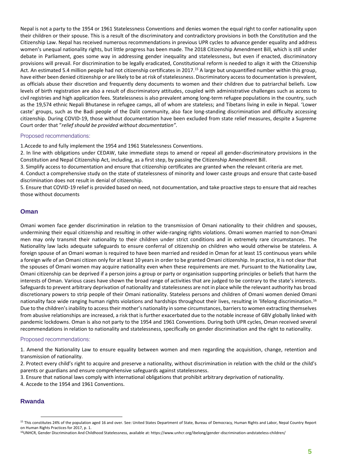Nepal is not a party to the 1954 or 1961 Statelessness Conventions and denies women the equal right to confer nationality upon their children or their spouse. This is a result of the discriminatory and contradictory provisions in both the Constitution and the Citizenship Law. Nepal has received numerous recommendations in previous UPR cycles to advance gender equality and address women's unequal nationality rights, but little progress has been made. The 2018 Citizenship Amendment Bill, which is still under debate in Parliament, goes some way in addressing gender inequality and statelessness, but even if enacted, discriminatory provisions will prevail. For discrimination to be legally eradicated, Constitutional reform is needed to align it with the Citizenship Act. An estimated 5.4 million people had not citizenship certificates in 2017.<sup>15</sup> A large but unquantified number within this group, have either been denied citizenship or are likely to be at risk of statelessness. Discriminatory access to documentation is prevalent, as officials abuse their discretion and frequently deny documents to women and their children due to patriarchal beliefs. Low levels of birth registration are also a result of discriminatory attitudes, coupled with administrative challenges such as access to civil registries and high application fees. Statelessness is also prevalent among long-term refugee populations in the country, such as the 19,574 ethnic Nepali Bhutanese in refugee camps, all of whom are stateless; and Tibetans living in exile in Nepal. 'Lower caste' groups, such as the Badi people of the Dalit community, also face long-standing discrimination and difficulty accessing citizenship. During COVID-19, those without documentation have been excluded from state relief measures, despite a Supreme Court order that "*relief should be provided without documentation".*

#### Proposed recommendations:

1.Accede to and fully implement the 1954 and 1961 Statelessness Conventions.

2. In line with obligations under CEDAW, take immediate steps to amend or repeal all gender-discriminatory provisions in the Constitution and Nepal Citizenship Act, including, as a first step, by passing the Citizenship Amendment Bill.

3. Simplify access to documentation and ensure that citizenship certificates are granted when the relevant criteria are met.

4. Conduct a comprehensive study on the state of statelessness of minority and lower caste groups and ensure that caste-based discrimination does not result in denial of citizenship.

5. Ensure that COVID-19 relief is provided based on need, not documentation, and take proactive steps to ensure that aid reaches those without documents

## **Oman**

Omani women face gender discrimination in relation to the transmission of Omani nationality to their children and spouses, undermining their equal citizenship and resulting in other wide-ranging rights violations. Omani women married to non-Omani men may only transmit their nationality to their children under strict conditions and in extremely rare circumstances. The Nationality law lacks adequate safeguards to ensure conferral of citizenship on children who would otherwise be stateless. A foreign spouse of an Omani woman is required to have been married and resided in Oman for at least 15 continuous years while a foreign wife of an Omani citizen only for at least 10 years in order to be granted Omani citizenship. In practice, it is not clear that the spouses of Omani women may acquire nationality even when these requirements are met. Pursuant to the Nationality Law, Omani citizenship can be deprived if a person joins a group or party or organisation supporting principles or beliefs that harm the interests of Oman. Various cases have shown the broad range of activities that are judged to be contrary to the state's interests. Safeguards to prevent arbitrary deprivation of nationality and statelessness are not in place while the relevant authority has broad discretionary powers to strip people of their Omani nationality. Stateless persons and children of Omani women denied Omani nationality face wide ranging human rights violations and hardships throughout their lives, resulting in 'lifelong discrimination.<sup>16</sup> Due to the children's inability to access their mother's nationality in some circumstances, barriers to women extracting themselves from abusive relationships are increased, a risk that is further exacerbated due to the notable increase of GBV globally linked with pandemic lockdowns. Oman is also not party to the 1954 and 1961 Conventions. During both UPR cycles, Oman received several recommendations in relation to nationality and statelessness, specifically on gender discrimination and the right to nationality.

## Proposed recommendations:

1. Amend the Nationality Law to ensure equality between women and men regarding the acquisition, change, retention and transmission of nationality.

2. Protect every child's right to acquire and preserve a nationality, without discrimination in relation with the child or the child's parents or guardians and ensure comprehensive safeguards against statelessness.

3. Ensure that national laws comply with international obligations that prohibit arbitrary deprivation of nationality.

4. Accede to the 1954 and 1961 Conventions.

## **Rwanda**

<sup>&</sup>lt;sup>15</sup> This constitutes 24% of the population aged 16 and over. See: United States Department of State, Bureau of Democracy, Human Rights and Labor, Nepal Country Report on Human Rights Practices for 2017, p. 1.

<sup>16</sup>UNHCR, Gender Discrimination And Childhood Statelessness, available at: https://www.unhcr.org/ibelong/gender-discrimination-andstateless-children/